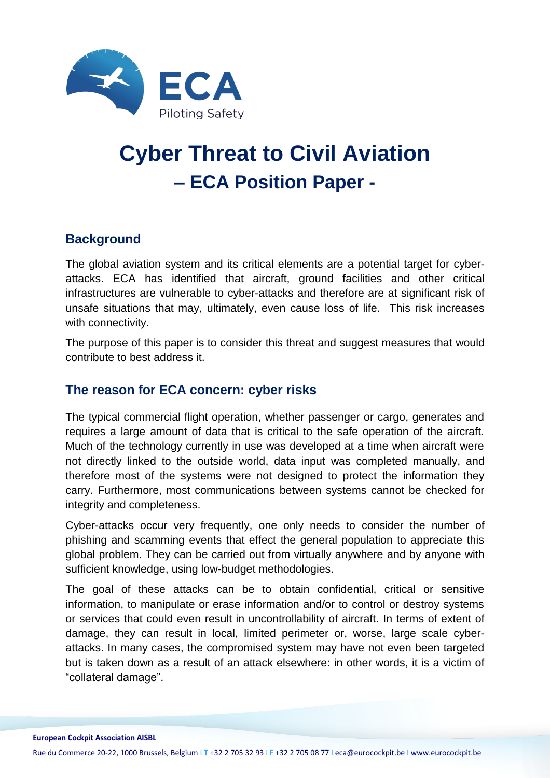

# **Cyber Threat to Civil Aviation – ECA Position Paper -**

### **Background**

The global aviation system and its critical elements are a potential target for cyberattacks. ECA has identified that aircraft, ground facilities and other critical infrastructures are vulnerable to cyber-attacks and therefore are at significant risk of unsafe situations that may, ultimately, even cause loss of life. This risk increases with connectivity.

The purpose of this paper is to consider this threat and suggest measures that would contribute to best address it.

#### **The reason for ECA concern: cyber risks**

The typical commercial flight operation, whether passenger or cargo, generates and requires a large amount of data that is critical to the safe operation of the aircraft. Much of the technology currently in use was developed at a time when aircraft were not directly linked to the outside world, data input was completed manually, and therefore most of the systems were not designed to protect the information they carry. Furthermore, most communications between systems cannot be checked for integrity and completeness.

Cyber-attacks occur very frequently, one only needs to consider the number of phishing and scamming events that effect the general population to appreciate this global problem. They can be carried out from virtually anywhere and by anyone with sufficient knowledge, using low-budget methodologies.

The goal of these attacks can be to obtain confidential, critical or sensitive information, to manipulate or erase information and/or to control or destroy systems or services that could even result in uncontrollability of aircraft. In terms of extent of damage, they can result in local, limited perimeter or, worse, large scale cyberattacks. In many cases, the compromised system may have not even been targeted but is taken down as a result of an attack elsewhere: in other words, it is a victim of "collateral damage".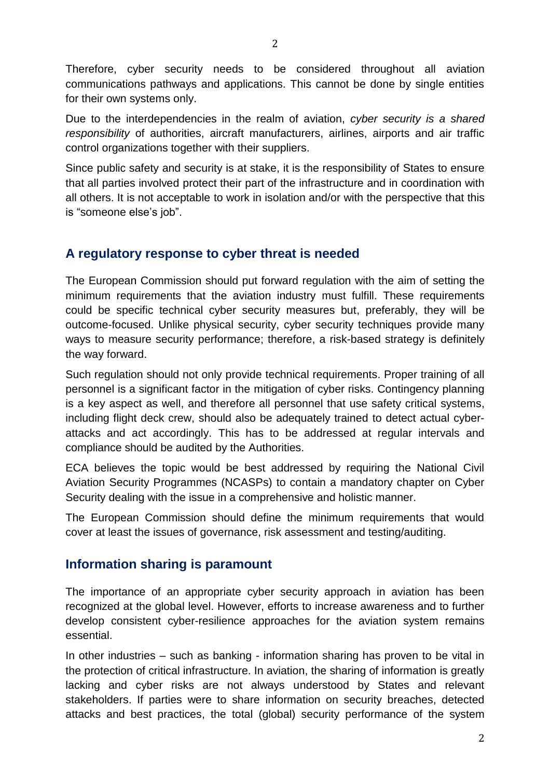Therefore, cyber security needs to be considered throughout all aviation communications pathways and applications. This cannot be done by single entities for their own systems only.

Due to the interdependencies in the realm of aviation, *cyber security is a shared responsibility* of authorities, aircraft manufacturers, airlines, airports and air traffic control organizations together with their suppliers.

Since public safety and security is at stake, it is the responsibility of States to ensure that all parties involved protect their part of the infrastructure and in coordination with all others. It is not acceptable to work in isolation and/or with the perspective that this is "someone else's job".

## **A regulatory response to cyber threat is needed**

The European Commission should put forward regulation with the aim of setting the minimum requirements that the aviation industry must fulfill. These requirements could be specific technical cyber security measures but, preferably, they will be outcome-focused. Unlike physical security, cyber security techniques provide many ways to measure security performance; therefore, a risk-based strategy is definitely the way forward.

Such regulation should not only provide technical requirements. Proper training of all personnel is a significant factor in the mitigation of cyber risks. Contingency planning is a key aspect as well, and therefore all personnel that use safety critical systems, including flight deck crew, should also be adequately trained to detect actual cyberattacks and act accordingly. This has to be addressed at regular intervals and compliance should be audited by the Authorities.

ECA believes the topic would be best addressed by requiring the National Civil Aviation Security Programmes (NCASPs) to contain a mandatory chapter on Cyber Security dealing with the issue in a comprehensive and holistic manner.

The European Commission should define the minimum requirements that would cover at least the issues of governance, risk assessment and testing/auditing.

#### **Information sharing is paramount**

The importance of an appropriate cyber security approach in aviation has been recognized at the global level. However, efforts to increase awareness and to further develop consistent cyber-resilience approaches for the aviation system remains essential.

In other industries – such as banking - information sharing has proven to be vital in the protection of critical infrastructure. In aviation, the sharing of information is greatly lacking and cyber risks are not always understood by States and relevant stakeholders. If parties were to share information on security breaches, detected attacks and best practices, the total (global) security performance of the system